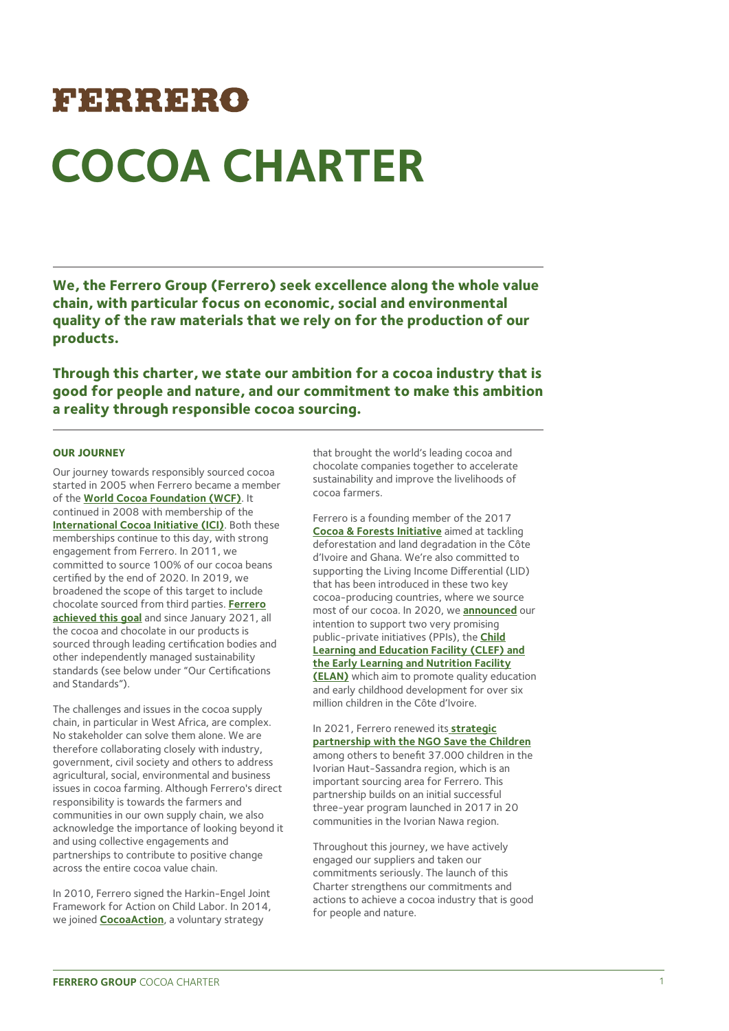# FERRERO **COCOA CHARTER**

**We, the Ferrero Group (Ferrero) seek excellence along the whole value chain, with particular focus on economic, social and environmental quality of the raw materials that we rely on for the production of our products.** 

**Through this charter, we state our ambition for a cocoa industry that is good for people and nature, and our commitment to make this ambition a reality through responsible cocoa sourcing.**

# **OUR JOURNEY**

Our journey towards responsibly sourced cocoa started in 2005 when Ferrero became a member of the **[World Cocoa Foundation \(WCF\)](https://www.worldcocoafoundation.org/)**. It continued in 2008 with membership of the **[International Cocoa Initiative \(ICI\)](https://cocoainitiative.org/)**. Both these memberships continue to this day, with strong engagement from Ferrero. In 2011, we committed to source 100% of our cocoa beans certified by the end of 2020. In 2019, we broadened the scope of this target to include chocolate sourced from third parties. **[Ferrero](https://www.ferrero.com/news/ferrero-continues-to-scale-cocoa-sustainability-programme)  [achieved this goal](https://www.ferrero.com/news/ferrero-continues-to-scale-cocoa-sustainability-programme)** and since January 2021, all the cocoa and chocolate in our products is sourced through leading certification bodies and other independently managed sustainability standards (see below under "Our Certifications and Standards").

The challenges and issues in the cocoa supply chain, in particular in West Africa, are complex. No stakeholder can solve them alone. We are therefore collaborating closely with industry, government, civil society and others to address agricultural, social, environmental and business issues in cocoa farming. Although Ferrero's direct responsibility is towards the farmers and communities in our own supply chain, we also acknowledge the importance of looking beyond it and using collective engagements and partnerships to contribute to positive change across the entire cocoa value chain.

In 2010, Ferrero signed the Harkin-Engel Joint Framework for Action on Child Labor. In 2014, we joined **[CocoaAction](https://www.worldcocoafoundation.org/initiative/cocoaaction/)**, a voluntary strategy

that brought the world's leading cocoa and chocolate companies together to accelerate sustainability and improve the livelihoods of cocoa farmers.

Ferrero is a founding member of the 2017 **[Cocoa & Forests Initiative](https://www.worldcocoafoundation.org/initiative/cocoa-forests-initiative/)** aimed at tackling deforestation and land degradation in the Côte d'Ivoire and Ghana. We're also committed to supporting the Living Income Differential (LID) that has been introduced in these two key cocoa-producing countries, where we source most of our cocoa. In 2020, we **[announced](https://www.ferrero.com/news/Ferrero-joins-forces-with-a-strong-public-private-coalition-to-address-root)** our intention to support two very promising public-private initiatives (PPIs), the **[Child](https://jacobsfoundation.org/en/activity/clef-elan/)  [Learning and Education Facility \(CLEF\) and](https://jacobsfoundation.org/en/activity/clef-elan/)  the Early Learning and Nutrition Facility [\(ELAN\)](https://jacobsfoundation.org/en/activity/clef-elan/)** which aim to promote quality education and early childhood development for over six million children in the Côte d'Ivoire.

In 2021, Ferrero renewed its **[strategic](https://www.ferrero.com/news/ferrero-continues-to-scale-cocoa-sustainability-programme)  [partnership with the NGO Save the Children](https://www.ferrero.com/news/ferrero-continues-to-scale-cocoa-sustainability-programme)** among others to benefit 37.000 children in the Ivorian Haut-Sassandra region, which is an important sourcing area for Ferrero. This partnership builds on an initial successful three-year program launched in 2017 in 20 communities in the Ivorian Nawa region.

Throughout this journey, we have actively engaged our suppliers and taken our commitments seriously. The launch of this Charter strengthens our commitments and actions to achieve a cocoa industry that is good for people and nature.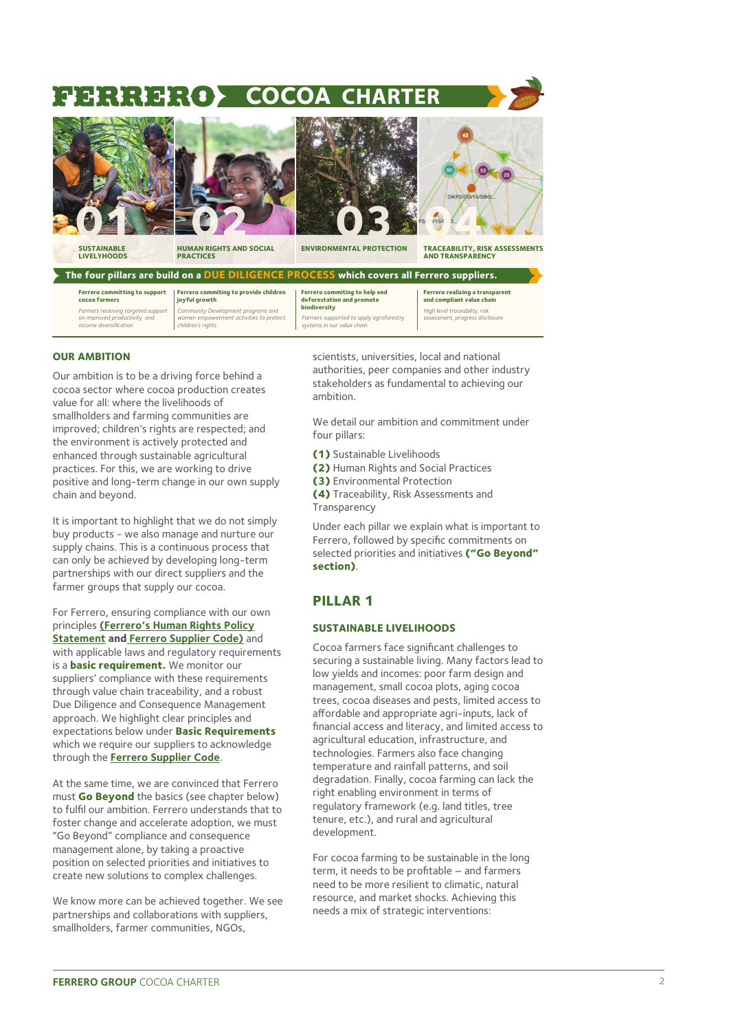# **COCOA** 34 : 4 : 4



**SUSTAINABLE** 



**HUMAN RIGHTS AND SOCIAL PRACTICES** 



**ENVIRONMENTAL PROTECTION** 

**TRACEABILITY, RISK ASSESSMENTS AND TRANSPARENCY**

| The four pillars are build on a DUE DILIGENCE PROCESS which covers all Ferrero suppliers.    |                                                                                                    |                                                                                       |                                                                     |
|----------------------------------------------------------------------------------------------|----------------------------------------------------------------------------------------------------|---------------------------------------------------------------------------------------|---------------------------------------------------------------------|
| <b>Ferrero committing to support</b><br>cocoa farmers                                        | Ferrero commiting to provide children<br>joyful growth                                             | Ferrero commiting to help end<br>deforestation and promote                            | <b>Ferrero realizing a transparent</b><br>and compliant value chain |
| Farmers receiving targeted support<br>on improved productivity and<br>income diversification | Community Development programs and<br>women empowerment activities to protect<br>children's rights | biodiversity<br>Farmers supported to apply agroforestry<br>systems in our value chain | High level traceability, risk<br>assessment, progress disclosure    |

#### **OUR AMBITION**

Our ambition is to be a driving force behind a cocoa sector where cocoa production creates value for all: where the livelihoods of smallholders and farming communities are improved; children's rights are respected; and the environment is actively protected and enhanced through sustainable agricultural practices. For this, we are working to drive positive and long-term change in our own supply chain and beyond.

It is important to highlight that we do not simply buy products - we also manage and nurture our supply chains. This is a continuous process that can only be achieved by developing long-term partnerships with our direct suppliers and the farmer groups that supply our cocoa.

For Ferrero, ensuring compliance with our own principles **[\(Ferrero's Human Rights Policy](https://www.ferrerosustainability.com/int/sites/ferrerosustainability_int/files/2020-12/human_rights_policy_statement_csr.pdf)  [Statement](https://www.ferrerosustainability.com/int/sites/ferrerosustainability_int/files/2020-12/human_rights_policy_statement_csr.pdf) and [Ferrero Supplier Code\)](https://www.ferrerosustainability.com/int/sites/ferrerosustainability_int/files/2020-12/supplier_code_csr.pdf)** and with applicable laws and regulatory requirements is a **basic requirement.** We monitor our suppliers' compliance with these requirements through value chain traceability, and a robust Due Diligence and Consequence Management approach. We highlight clear principles and expectations below under **Basic Requirements** which we require our suppliers to acknowledge through the **[Ferrero Supplier Code](https://www.ferrero.com/sustainability/supplier-code)**.

At the same time, we are convinced that Ferrero must **Go Beyond** the basics (see chapter below) to fulfil our ambition. Ferrero understands that to foster change and accelerate adoption, we must "Go Beyond" compliance and consequence management alone, by taking a proactive position on selected priorities and initiatives to create new solutions to complex challenges.

We know more can be achieved together. We see partnerships and collaborations with suppliers, smallholders, farmer communities, NGOs,

scientists, universities, local and national authorities, peer companies and other industry stakeholders as fundamental to achieving our ambition.

We detail our ambition and commitment under four pillars:

- **(1)** Sustainable Livelihoods
- **(2)** Human Rights and Social Practices
- **(3)** Environmental Protection
- **(4)** Traceability, Risk Assessments and Transparency

Under each pillar we explain what is important to Ferrero, followed by specific commitments on selected priorities and initiatives **("Go Beyond" section)**.

# **PILLAR 1**

#### **SUSTAINABLE LIVELIHOODS**

Cocoa farmers face significant challenges to securing a sustainable living. Many factors lead to low yields and incomes: poor farm design and management, small cocoa plots, aging cocoa trees, cocoa diseases and pests, limited access to affordable and appropriate agri-inputs, lack of financial access and literacy, and limited access to agricultural education, infrastructure, and technologies. Farmers also face changing temperature and rainfall patterns, and soil degradation. Finally, cocoa farming can lack the right enabling environment in terms of regulatory framework (e.g. land titles, tree tenure, etc.), and rural and agricultural development.

For cocoa farming to be sustainable in the long term, it needs to be profitable – and farmers need to be more resilient to climatic, natural resource, and market shocks. Achieving this needs a mix of strategic interventions: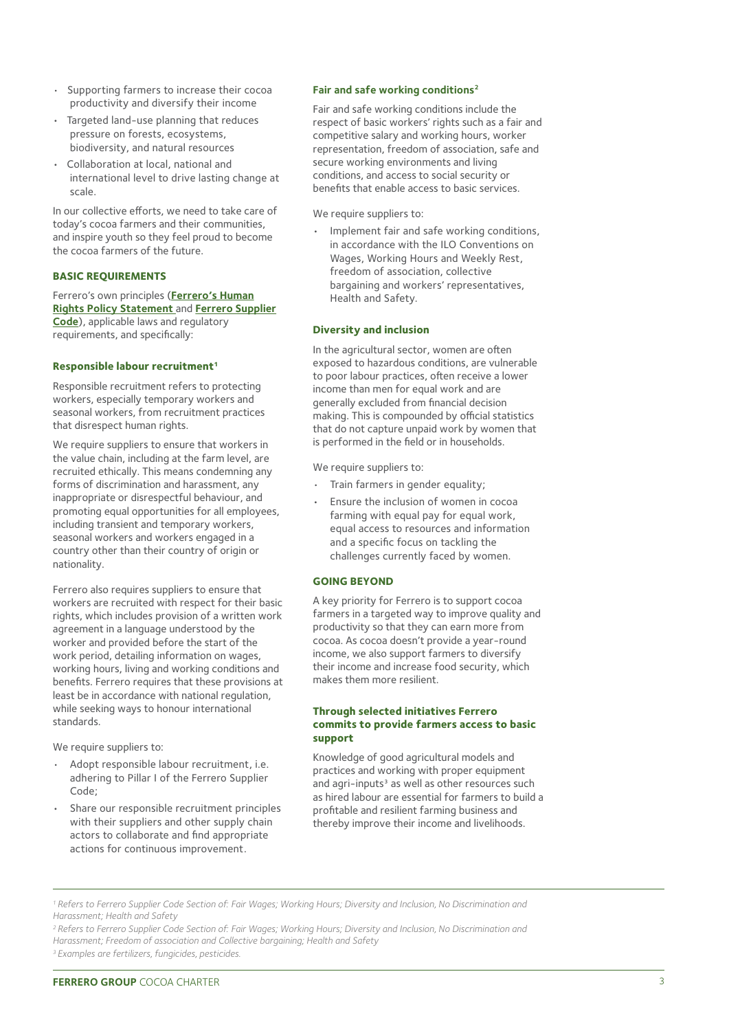- Supporting farmers to increase their cocoa productivity and diversify their income
- Targeted land-use planning that reduces pressure on forests, ecosystems, biodiversity, and natural resources
- Collaboration at local, national and international level to drive lasting change at scale.

In our collective efforts, we need to take care of today's cocoa farmers and their communities, and inspire youth so they feel proud to become the cocoa farmers of the future.

# **BASIC REQUIREMENTS**

Ferrero's own principles (**[Ferrero's Human](https://www.ferrero.com/sustainability/human-rights-policy-statement)  [Rights Policy Statement](https://www.ferrero.com/sustainability/human-rights-policy-statement)** and **[Ferrero Supplier](https://www.ferrero.com/sustainability/supplier-code)  [Code](https://www.ferrero.com/sustainability/supplier-code)**), applicable laws and regulatory requirements, and specifically:

#### **Responsible labour recruitment1**

Responsible recruitment refers to protecting workers, especially temporary workers and seasonal workers, from recruitment practices that disrespect human rights.

We require suppliers to ensure that workers in the value chain, including at the farm level, are recruited ethically. This means condemning any forms of discrimination and harassment, any inappropriate or disrespectful behaviour, and promoting equal opportunities for all employees, including transient and temporary workers, seasonal workers and workers engaged in a country other than their country of origin or nationality.

Ferrero also requires suppliers to ensure that workers are recruited with respect for their basic rights, which includes provision of a written work agreement in a language understood by the worker and provided before the start of the work period, detailing information on wages, working hours, living and working conditions and benefits. Ferrero requires that these provisions at least be in accordance with national regulation, while seeking ways to honour international standards.

We require suppliers to:

- Adopt responsible labour recruitment, i.e. adhering to Pillar I of the Ferrero Supplier Code;
- Share our responsible recruitment principles with their suppliers and other supply chain actors to collaborate and find appropriate actions for continuous improvement.

#### **Fair and safe working conditions2**

Fair and safe working conditions include the respect of basic workers' rights such as a fair and competitive salary and working hours, worker representation, freedom of association, safe and secure working environments and living conditions, and access to social security or benefits that enable access to basic services.

#### We require suppliers to:

• Implement fair and safe working conditions, in accordance with the ILO Conventions on Wages, Working Hours and Weekly Rest, freedom of association, collective bargaining and workers' representatives, Health and Safety.

#### **Diversity and inclusion**

In the agricultural sector, women are often exposed to hazardous conditions, are vulnerable to poor labour practices, often receive a lower income than men for equal work and are generally excluded from financial decision making. This is compounded by official statistics that do not capture unpaid work by women that is performed in the field or in households.

We require suppliers to:

- Train farmers in gender equality;
- Ensure the inclusion of women in cocoa farming with equal pay for equal work, equal access to resources and information and a specific focus on tackling the challenges currently faced by women.

#### **GOING BEYOND**

A key priority for Ferrero is to support cocoa farmers in a targeted way to improve quality and productivity so that they can earn more from cocoa. As cocoa doesn't provide a year-round income, we also support farmers to diversify their income and increase food security, which makes them more resilient.

#### **Through selected initiatives Ferrero commits to provide farmers access to basic support**

Knowledge of good agricultural models and practices and working with proper equipment and agri-inputs<sup>3</sup> as well as other resources such as hired labour are essential for farmers to build a profitable and resilient farming business and thereby improve their income and livelihoods.

*<sup>1</sup> Refers to Ferrero Supplier Code Section of: Fair Wages; Working Hours; Diversity and Inclusion, No Discrimination and Harassment; Health and Safety*

*<sup>2</sup> Refers to Ferrero Supplier Code Section of: Fair Wages; Working Hours; Diversity and Inclusion, No Discrimination and Harassment; Freedom of association and Collective bargaining; Health and Safety*

*<sup>3</sup> Examples are fertilizers, fungicides, pesticides.*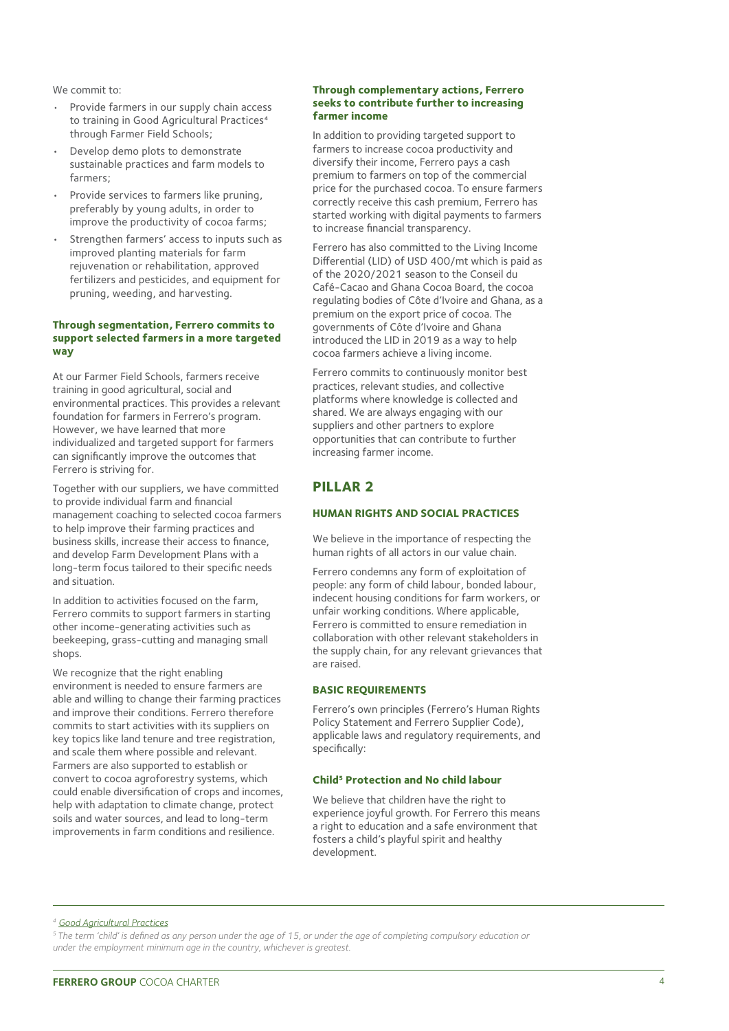We commit to:

- Provide farmers in our supply chain access to training in Good Agricultural Practices<sup>4</sup> through Farmer Field Schools;
- Develop demo plots to demonstrate sustainable practices and farm models to farmers;
- Provide services to farmers like pruning, preferably by young adults, in order to improve the productivity of cocoa farms;
- Strengthen farmers' access to inputs such as improved planting materials for farm rejuvenation or rehabilitation, approved fertilizers and pesticides, and equipment for pruning, weeding, and harvesting.

#### **Through segmentation, Ferrero commits to support selected farmers in a more targeted way**

At our Farmer Field Schools, farmers receive training in good agricultural, social and environmental practices. This provides a relevant foundation for farmers in Ferrero's program. However, we have learned that more individualized and targeted support for farmers can significantly improve the outcomes that Ferrero is striving for.

Together with our suppliers, we have committed to provide individual farm and financial management coaching to selected cocoa farmers to help improve their farming practices and business skills, increase their access to finance, and develop Farm Development Plans with a long-term focus tailored to their specific needs and situation.

In addition to activities focused on the farm, Ferrero commits to support farmers in starting other income-generating activities such as beekeeping, grass-cutting and managing small shops.

We recognize that the right enabling environment is needed to ensure farmers are able and willing to change their farming practices and improve their conditions. Ferrero therefore commits to start activities with its suppliers on key topics like land tenure and tree registration, and scale them where possible and relevant. Farmers are also supported to establish or convert to cocoa agroforestry systems, which could enable diversification of crops and incomes, help with adaptation to climate change, protect soils and water sources, and lead to long-term improvements in farm conditions and resilience.

#### **Through complementary actions, Ferrero seeks to contribute further to increasing farmer income**

In addition to providing targeted support to farmers to increase cocoa productivity and diversify their income, Ferrero pays a cash premium to farmers on top of the commercial price for the purchased cocoa. To ensure farmers correctly receive this cash premium, Ferrero has started working with digital payments to farmers to increase financial transparency.

Ferrero has also committed to the Living Income Differential (LID) of USD 400/mt which is paid as of the 2020/2021 season to the Conseil du Café-Cacao and Ghana Cocoa Board, the cocoa regulating bodies of Côte d'Ivoire and Ghana, as a premium on the export price of cocoa. The governments of Côte d'Ivoire and Ghana introduced the LID in 2019 as a way to help cocoa farmers achieve a living income.

Ferrero commits to continuously monitor best practices, relevant studies, and collective platforms where knowledge is collected and shared. We are always engaging with our suppliers and other partners to explore opportunities that can contribute to further increasing farmer income.

# **PILLAR 2**

# **HUMAN RIGHTS AND SOCIAL PRACTICES**

We believe in the importance of respecting the human rights of all actors in our value chain.

Ferrero condemns any form of exploitation of people: any form of child labour, bonded labour, indecent housing conditions for farm workers, or unfair working conditions. Where applicable, Ferrero is committed to ensure remediation in collaboration with other relevant stakeholders in the supply chain, for any relevant grievances that are raised.

#### **BASIC REQUIREMENTS**

Ferrero's own principles (Ferrero's Human Rights Policy Statement and Ferrero Supplier Code). applicable laws and regulatory requirements, and specifically:

#### **Child5 Protection and No child labour**

We believe that children have the right to experience joyful growth. For Ferrero this means a right to education and a safe environment that fosters a child's playful spirit and healthy development.

*<sup>4</sup> [Good Agricultural Practices](https://www.kit.nl/wp-content/uploads/2018/11/Demystifying-cocoa-sector-chapter8-cocoa-production-practices.pdf)*

*5 The term 'child' is defined as any person under the age of 15, or under the age of completing compulsory education or under the employment minimum age in the country, whichever is greatest.*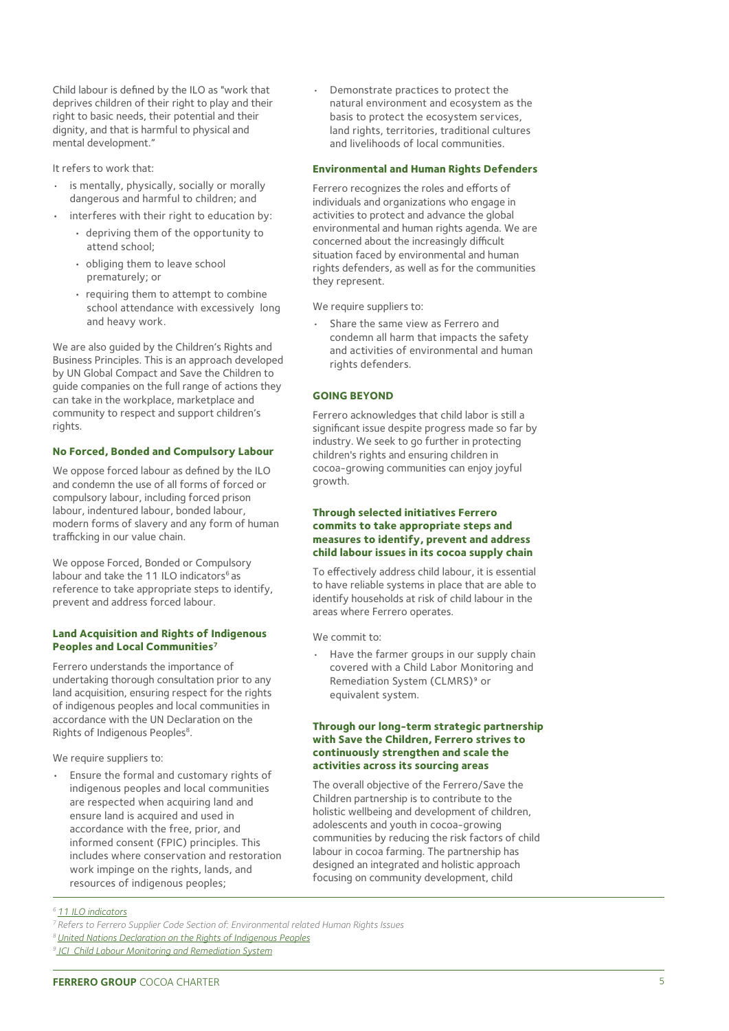Child labour is defined by the ILO as "work that deprives children of their right to play and their right to basic needs, their potential and their dignity, and that is harmful to physical and mental development."

It refers to work that:

- is mentally, physically, socially or morally dangerous and harmful to children; and
- interferes with their right to education by:
- depriving them of the opportunity to attend school;
	- obliging them to leave school prematurely; or
	- requiring them to attempt to combine school attendance with excessively long and heavy work.

We are also guided by the Children's Rights and Business Principles. This is an approach developed by UN Global Compact and Save the Children to guide companies on the full range of actions they can take in the workplace, marketplace and community to respect and support children's rights.

# **No Forced, Bonded and Compulsory Labour**

We oppose forced labour as defined by the ILO and condemn the use of all forms of forced or compulsory labour, including forced prison labour, indentured labour, bonded labour, modern forms of slavery and any form of human trafficking in our value chain.

We oppose Forced, Bonded or Compulsory labour and take the 11 ILO indicators<sup>6</sup> as reference to take appropriate steps to identify, prevent and address forced labour.

#### **Land Acquisition and Rights of Indigenous Peoples and Local Communities7**

Ferrero understands the importance of undertaking thorough consultation prior to any land acquisition, ensuring respect for the rights of indigenous peoples and local communities in accordance with the UN Declaration on the Rights of Indigenous Peoples<sup>8</sup>.

We require suppliers to:

• Ensure the formal and customary rights of indigenous peoples and local communities are respected when acquiring land and ensure land is acquired and used in accordance with the free, prior, and informed consent (FPIC) principles. This includes where conservation and restoration work impinge on the rights, lands, and resources of indigenous peoples;

• Demonstrate practices to protect the natural environment and ecosystem as the basis to protect the ecosystem services, land rights, territories, traditional cultures and livelihoods of local communities.

# **Environmental and Human Rights Defenders**

Ferrero recognizes the roles and efforts of individuals and organizations who engage in activities to protect and advance the global environmental and human rights agenda. We are concerned about the increasingly difficult situation faced by environmental and human rights defenders, as well as for the communities they represent.

We require suppliers to:

Share the same view as Ferrero and condemn all harm that impacts the safety and activities of environmental and human rights defenders.

# **GOING BEYOND**

Ferrero acknowledges that child labor is still a significant issue despite progress made so far by industry. We seek to go further in protecting children's rights and ensuring children in cocoa-growing communities can enjoy joyful growth.

#### **Through selected initiatives Ferrero commits to take appropriate steps and measures to identify, prevent and address child labour issues in its cocoa supply chain**

To effectively address child labour, it is essential to have reliable systems in place that are able to identify households at risk of child labour in the areas where Ferrero operates.

We commit to:

Have the farmer groups in our supply chain covered with a Child Labor Monitoring and Remediation System (CLMRS)<sup>9</sup> or equivalent system.

#### **Through our long-term strategic partnership with Save the Children, Ferrero strives to continuously strengthen and scale the activities across its sourcing areas**

The overall objective of the Ferrero/Save the Children partnership is to contribute to the holistic wellbeing and development of children, adolescents and youth in cocoa-growing communities by reducing the risk factors of child labour in cocoa farming. The partnership has designed an integrated and holistic approach focusing on community development, child

*<sup>6</sup> [11 ILO indicators](https://www.ilo.org/wcmsp5/groups/public/---ed_norm/---declaration/documents/publication/wcms_203832.pdf)*

*<sup>7</sup> Refers to Ferrero Supplier Code Section of: Environmental related Human Rights Issues*

*<sup>8</sup> [United Nations Declaration on the Rights of Indigenous Peoples](https://www.un.org/development/desa/indigenouspeoples/declaration-on-the-rights-of-indigenous-peoples.html)*

*<sup>9</sup> [ICI\\_Child Labour Monitoring and Remediation System](https://cocoainitiative.org/wp-content/uploads/2021/04/ICI_CLMRS_Benchmarking-study.pdf)*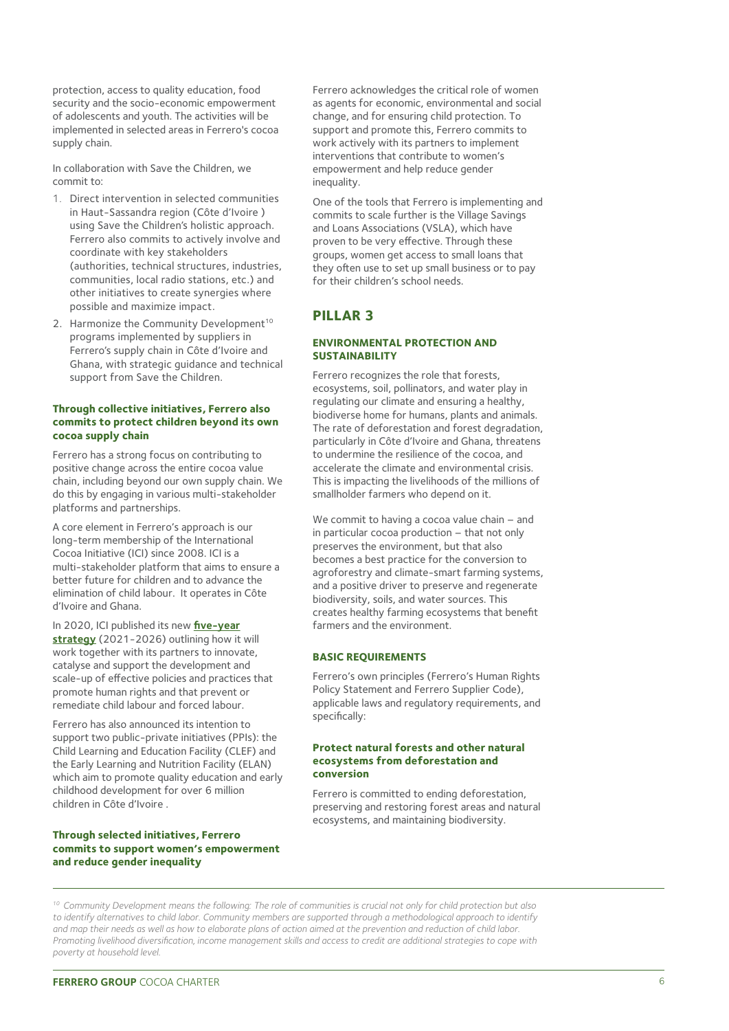protection, access to quality education, food security and the socio-economic empowerment of adolescents and youth. The activities will be implemented in selected areas in Ferrero's cocoa supply chain.

In collaboration with Save the Children, we commit to:

- 1. Direct intervention in selected communities in Haut-Sassandra region (Côte d'Ivoire ) using Save the Children's holistic approach. Ferrero also commits to actively involve and coordinate with key stakeholders (authorities, technical structures, industries, communities, local radio stations, etc.) and other initiatives to create synergies where possible and maximize impact.
- 2. Harmonize the Community Development<sup>10</sup> programs implemented by suppliers in Ferrero's supply chain in Côte d'Ivoire and Ghana, with strategic guidance and technical support from Save the Children.

#### **Through collective initiatives, Ferrero also commits to protect children beyond its own cocoa supply chain**

Ferrero has a strong focus on contributing to positive change across the entire cocoa value chain, including beyond our own supply chain. We do this by engaging in various multi-stakeholder platforms and partnerships.

A core element in Ferrero's approach is our long-term membership of the International Cocoa Initiative (ICI) since 2008. ICI is a multi-stakeholder platform that aims to ensure a better future for children and to advance the elimination of child labour. It operates in Côte d'Ivoire and Ghana.

In 2020, ICI published its new **[five-year](https://cocoainitiative.org/wp-content/uploads/2020/09/ICI-2021-2026-Strategy_EN.pdf)  [strategy](https://cocoainitiative.org/wp-content/uploads/2020/09/ICI-2021-2026-Strategy_EN.pdf)** (2021-2026) outlining how it will work together with its partners to innovate, catalyse and support the development and scale-up of effective policies and practices that promote human rights and that prevent or remediate child labour and forced labour.

Ferrero has also announced its intention to support two public-private initiatives (PPIs): the Child Learning and Education Facility (CLEF) and the Early Learning and Nutrition Facility (ELAN) which aim to promote quality education and early childhood development for over 6 million children in Côte d'Ivoire .

# **Through selected initiatives, Ferrero commits to support women's empowerment and reduce gender inequality**

Ferrero acknowledges the critical role of women as agents for economic, environmental and social change, and for ensuring child protection. To support and promote this, Ferrero commits to work actively with its partners to implement interventions that contribute to women's empowerment and help reduce gender inequality.

One of the tools that Ferrero is implementing and commits to scale further is the Village Savings and Loans Associations (VSLA), which have proven to be very effective. Through these groups, women get access to small loans that they often use to set up small business or to pay for their children's school needs.

# **PILLAR 3**

# **ENVIRONMENTAL PROTECTION AND SUSTAINABILITY**

Ferrero recognizes the role that forests, ecosystems, soil, pollinators, and water play in regulating our climate and ensuring a healthy, biodiverse home for humans, plants and animals. The rate of deforestation and forest degradation, particularly in Côte d'Ivoire and Ghana, threatens to undermine the resilience of the cocoa, and accelerate the climate and environmental crisis. This is impacting the livelihoods of the millions of smallholder farmers who depend on it.

We commit to having a cocoa value chain – and in particular cocoa production – that not only preserves the environment, but that also becomes a best practice for the conversion to agroforestry and climate-smart farming systems, and a positive driver to preserve and regenerate biodiversity, soils, and water sources. This creates healthy farming ecosystems that benefit farmers and the environment.

# **BASIC REQUIREMENTS**

Ferrero's own principles (Ferrero's Human Rights Policy Statement and Ferrero Supplier Code), applicable laws and regulatory requirements, and specifically:

#### **Protect natural forests and other natural ecosystems from deforestation and conversion**

Ferrero is committed to ending deforestation, preserving and restoring forest areas and natural ecosystems, and maintaining biodiversity.

*10 Community Development means the following: The role of communities is crucial not only for child protection but also*  to identify alternatives to child labor. Community members are supported through a methodological approach to identify *and map their needs as well as how to elaborate plans of action aimed at the prevention and reduction of child labor. Promoting livelihood diversification, income management skills and access to credit are additional strategies to cope with poverty at household level.*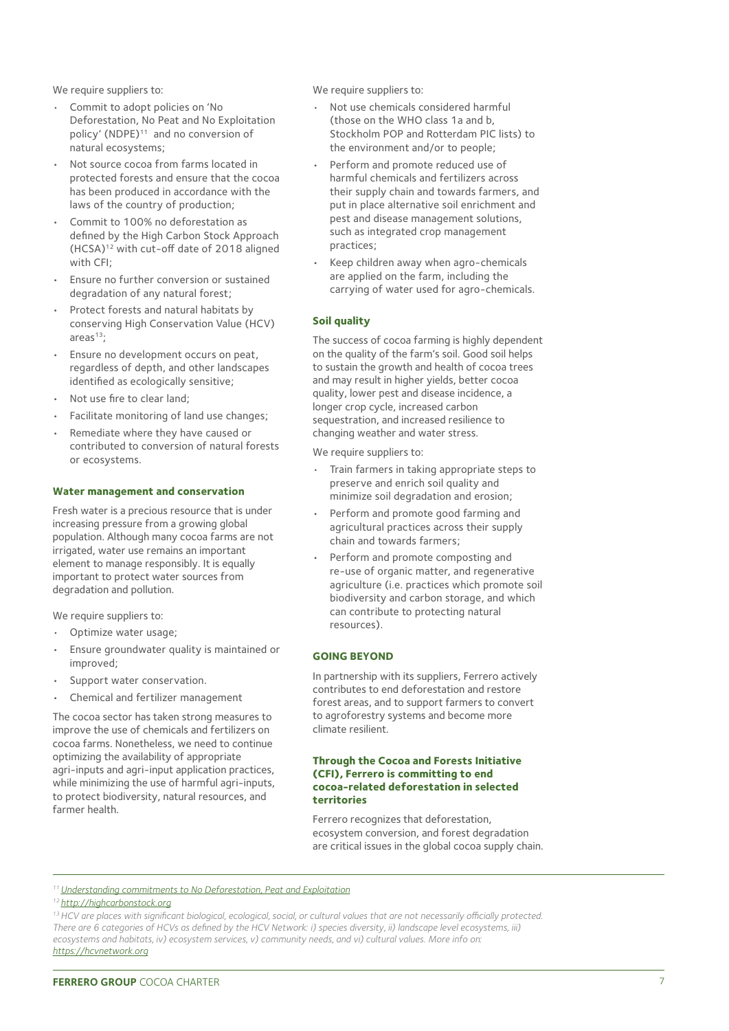We require suppliers to:

- Commit to adopt policies on 'No Deforestation, No Peat and No Exploitation policy' (NDPE)<sup>11</sup> and no conversion of natural ecosystems;
- Not source cocoa from farms located in protected forests and ensure that the cocoa has been produced in accordance with the laws of the country of production;
- Commit to 100% no deforestation as defined by the High Carbon Stock Approach  $(HCSA)^{12}$  with cut-off date of 2018 aligned with CFI;
- Ensure no further conversion or sustained degradation of any natural forest;
- Protect forests and natural habitats by conserving High Conservation Value (HCV) areas $13$ :
- Ensure no development occurs on peat, regardless of depth, and other landscapes identified as ecologically sensitive;
- Not use fire to clear land;
- Facilitate monitoring of land use changes;
- Remediate where they have caused or contributed to conversion of natural forests or ecosystems.

#### **Water management and conservation**

Fresh water is a precious resource that is under increasing pressure from a growing global population. Although many cocoa farms are not irrigated, water use remains an important element to manage responsibly. It is equally important to protect water sources from degradation and pollution.

We require suppliers to:

- Optimize water usage;
- Ensure groundwater quality is maintained or improved;
- Support water conservation.
- Chemical and fertilizer management

The cocoa sector has taken strong measures to improve the use of chemicals and fertilizers on cocoa farms. Nonetheless, we need to continue optimizing the availability of appropriate agri-inputs and agri-input application practices, while minimizing the use of harmful agri-inputs, to protect biodiversity, natural resources, and farmer health.

We require suppliers to:

- Not use chemicals considered harmful (those on the WHO class 1a and b, Stockholm POP and Rotterdam PIC lists) to the environment and/or to people;
- Perform and promote reduced use of harmful chemicals and fertilizers across their supply chain and towards farmers, and put in place alternative soil enrichment and pest and disease management solutions, such as integrated crop management practices;
- Keep children away when agro-chemicals are applied on the farm, including the carrying of water used for agro-chemicals.

# **Soil quality**

The success of cocoa farming is highly dependent on the quality of the farm's soil. Good soil helps to sustain the growth and health of cocoa trees and may result in higher yields, better cocoa quality, lower pest and disease incidence, a longer crop cycle, increased carbon sequestration, and increased resilience to changing weather and water stress.

We require suppliers to:

- Train farmers in taking appropriate steps to preserve and enrich soil quality and minimize soil degradation and erosion;
- Perform and promote good farming and agricultural practices across their supply chain and towards farmers;
- Perform and promote composting and re-use of organic matter, and regenerative agriculture (i.e. practices which promote soil biodiversity and carbon storage, and which can contribute to protecting natural resources).

# **GOING BEYOND**

In partnership with its suppliers, Ferrero actively contributes to end deforestation and restore forest areas, and to support farmers to convert to agroforestry systems and become more climate resilient.

#### **Through the Cocoa and Forests Initiative (CFI), Ferrero is committing to end cocoa-related deforestation in selected territories**

Ferrero recognizes that deforestation, ecosystem conversion, and forest degradation are critical issues in the global cocoa supply chain.

*11 [Understanding commitments to No Deforestation, Peat and Exploitation](https://www.proforest.net/fileadmin/uploads/proforest/Documents/Publications/infonote_04_introndpe.pdf)*

*<sup>1</sup>[2 http://highcarbonstock.org](http://highcarbonstock.org/)*

<sup>&</sup>lt;sup>13</sup> HCV are places with significant biological, ecological, social, or cultural values that are not necessarily officially protected. There are 6 categories of HCVs as defined by the HCV Network: i) species diversity, ii) landscape level ecosystems, iii) *ecosystems and habitats, iv) ecosystem services, v) community needs, and vi) cultural values. More info on: [https://hcvnetwork.org](https://hcvnetwork.org/)*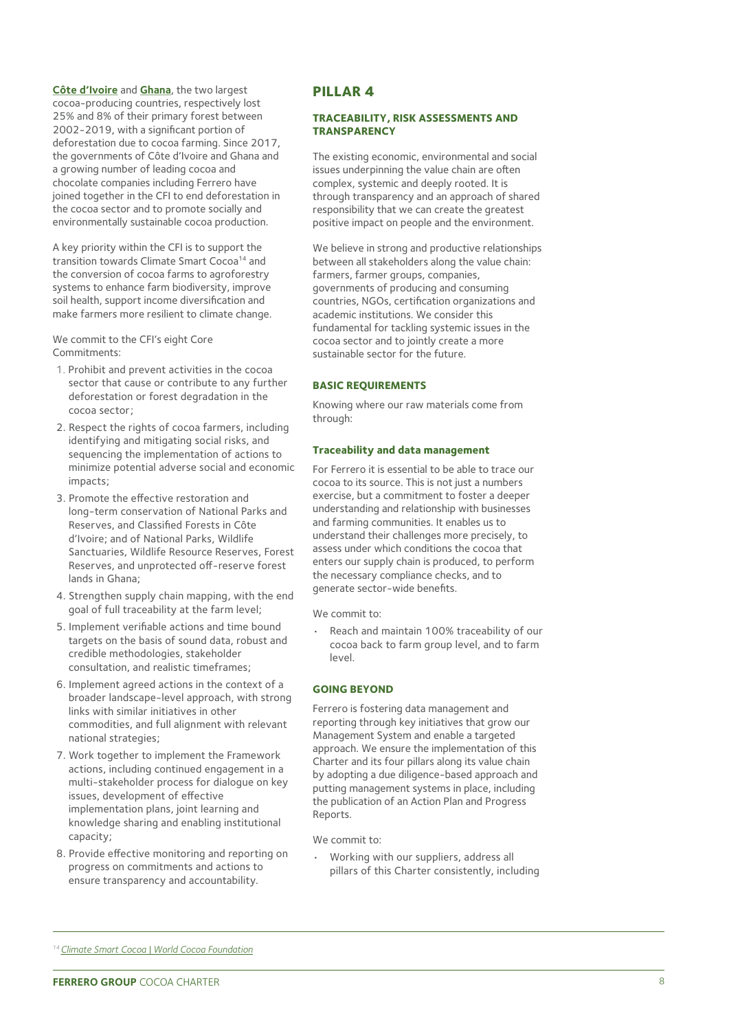**Côte d'Ivoire** and **Ghana**, the two largest cocoa-producing countries, respectively lost 25% and 8% of their primary forest between 2002-2019, with a significant portion of deforestation due to cocoa farming. Since 2017, the governments of Côte d'Ivoire and Ghana and a growing number of leading cocoa and chocolate companies including Ferrero have joined together in the CFI to end deforestation in the cocoa sector and to promote socially and environmentally sustainable cocoa production.

A key priority within the CFI is to support the transition towards Climate Smart Cocoa<sup>14</sup> and the conversion of cocoa farms to agroforestry systems to enhance farm biodiversity, improve soil health, support income diversification and make farmers more resilient to climate change.

We commit to the CFI's eight Core Commitments:

- 1. Prohibit and prevent activities in the cocoa sector that cause or contribute to any further deforestation or forest degradation in the cocoa sector;
- 2. Respect the rights of cocoa farmers, including identifying and mitigating social risks, and sequencing the implementation of actions to minimize potential adverse social and economic impacts;
- 3. Promote the effective restoration and long-term conservation of National Parks and Reserves, and Classified Forests in Côte d'Ivoire; and of National Parks, Wildlife Sanctuaries, Wildlife Resource Reserves, Forest Reserves, and unprotected off-reserve forest lands in Ghana;
- 4. Strengthen supply chain mapping, with the end goal of full traceability at the farm level;
- 5. Implement verifiable actions and time bound targets on the basis of sound data, robust and credible methodologies, stakeholder consultation, and realistic timeframes;
- 6. Implement agreed actions in the context of a broader landscape-level approach, with strong links with similar initiatives in other commodities, and full alignment with relevant national strategies;
- 7. Work together to implement the Framework actions, including continued engagement in a multi-stakeholder process for dialogue on key issues, development of effective implementation plans, joint learning and knowledge sharing and enabling institutional capacity;
- 8. Provide effective monitoring and reporting on progress on commitments and actions to ensure transparency and accountability.

# **PILLAR 4**

#### **TRACEABILITY, RISK ASSESSMENTS AND TRANSPARENCY**

The existing economic, environmental and social issues underpinning the value chain are often complex, systemic and deeply rooted. It is through transparency and an approach of shared responsibility that we can create the greatest positive impact on people and the environment.

We believe in strong and productive relationships between all stakeholders along the value chain: farmers, farmer groups, companies, governments of producing and consuming countries, NGOs, certification organizations and academic institutions. We consider this fundamental for tackling systemic issues in the cocoa sector and to jointly create a more sustainable sector for the future.

#### **BASIC REQUIREMENTS**

Knowing where our raw materials come from through:

#### **Traceability and data management**

For Ferrero it is essential to be able to trace our cocoa to its source. This is not just a numbers exercise, but a commitment to foster a deeper understanding and relationship with businesses and farming communities. It enables us to understand their challenges more precisely, to assess under which conditions the cocoa that enters our supply chain is produced, to perform the necessary compliance checks, and to generate sector-wide benefits.

We commit to:

• Reach and maintain 100% traceability of our cocoa back to farm group level, and to farm level.

#### **GOING BEYOND**

Ferrero is fostering data management and reporting through key initiatives that grow our Management System and enable a targeted approach. We ensure the implementation of this Charter and its four pillars along its value chain by adopting a due diligence-based approach and putting management systems in place, including the publication of an Action Plan and Progress Reports.

We commit to:

• Working with our suppliers, address all pillars of this Charter consistently, including

*<sup>14</sup> [Climate Smart Cocoa | World Cocoa Foundation](https://www.worldcocoafoundation.org/initiative/climate-smart-cocoa/#:~:text=Climate%20Smart%20Cocoa%20developed%20a,nurture%20the%20Cocoa%20%26%20Forests%20Initiative.)*